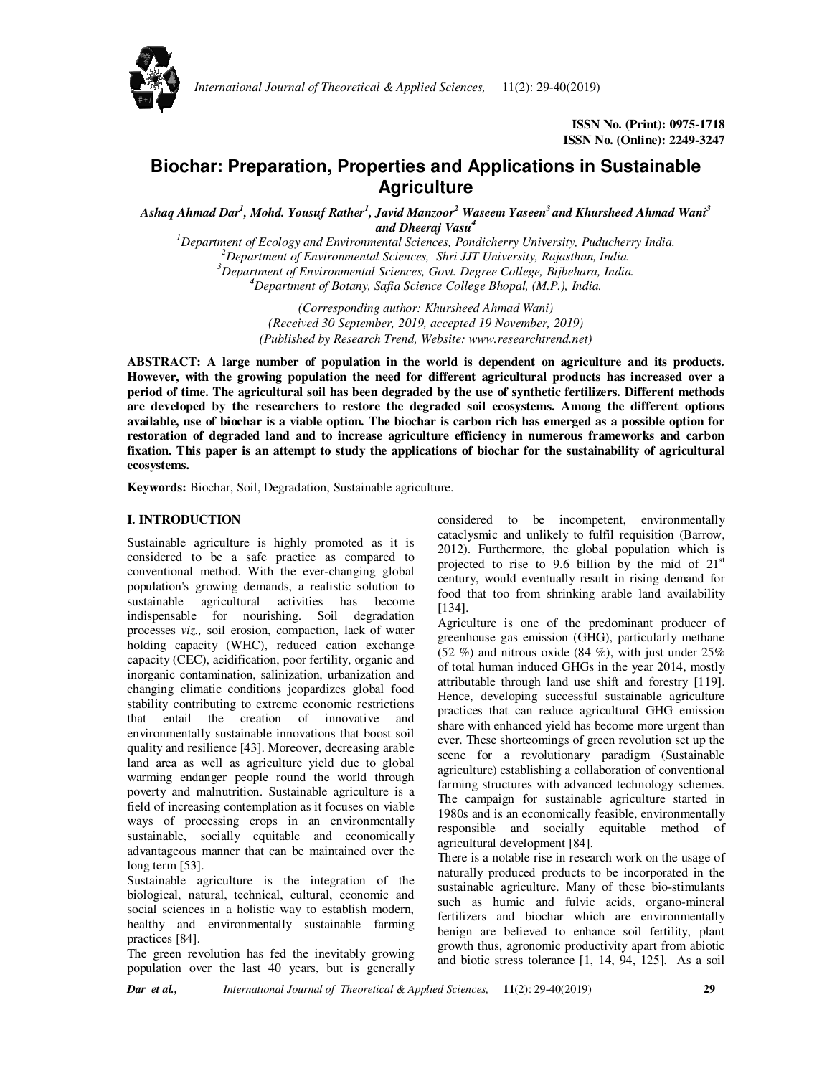

*International Journal of Theoretical & Applied Sciences,* 11(2): 29-40(2019)

# **Biochar: Preparation, Properties and Applications in Sustainable Agriculture**

*Ashaq Ahmad Dar<sup>1</sup> , Mohd. Yousuf Rather<sup>1</sup> , Javid Manzoor<sup>2</sup> Waseem Yaseen<sup>3</sup>and Khursheed Ahmad Wani<sup>3</sup> and Dheeraj Vasu<sup>4</sup>* 

*Department of Ecology and Environmental Sciences, Pondicherry University, Puducherry India. Department of Environmental Sciences, Shri JJT University, Rajasthan, India. Department of Environmental Sciences, Govt. Degree College, Bijbehara, India. Department of Botany, Safia Science College Bhopal, (M.P.), India.* 

> *(Corresponding author: Khursheed Ahmad Wani) (Received 30 September, 2019, accepted 19 November, 2019) (Published by Research Trend, Website: www.researchtrend.net)*

**ABSTRACT: A large number of population in the world is dependent on agriculture and its products. However, with the growing population the need for different agricultural products has increased over a period of time. The agricultural soil has been degraded by the use of synthetic fertilizers. Different methods are developed by the researchers to restore the degraded soil ecosystems. Among the different options available, use of biochar is a viable option. The biochar is carbon rich has emerged as a possible option for restoration of degraded land and to increase agriculture efficiency in numerous frameworks and carbon fixation. This paper is an attempt to study the applications of biochar for the sustainability of agricultural ecosystems.** 

**Keywords:** Biochar, Soil, Degradation, Sustainable agriculture.

## **I. INTRODUCTION**

Sustainable agriculture is highly promoted as it is considered to be a safe practice as compared to conventional method. With the ever-changing global population's growing demands, a realistic solution to sustainable agricultural activities has become indispensable for nourishing. Soil degradation processes *viz.,* soil erosion, compaction, lack of water holding capacity (WHC), reduced cation exchange capacity (CEC), acidification, poor fertility, organic and inorganic contamination, salinization, urbanization and changing climatic conditions jeopardizes global food stability contributing to extreme economic restrictions that entail the creation of innovative and environmentally sustainable innovations that boost soil quality and resilience [43]. Moreover, decreasing arable land area as well as agriculture yield due to global warming endanger people round the world through poverty and malnutrition. Sustainable agriculture is a field of increasing contemplation as it focuses on viable ways of processing crops in an environmentally sustainable, socially equitable and economically advantageous manner that can be maintained over the long term [53].

Sustainable agriculture is the integration of the biological, natural, technical, cultural, economic and social sciences in a holistic way to establish modern, healthy and environmentally sustainable farming practices [84].

The green revolution has fed the inevitably growing population over the last 40 years, but is generally considered to be incompetent, environmentally cataclysmic and unlikely to fulfil requisition (Barrow, 2012). Furthermore, the global population which is projected to rise to 9.6 billion by the mid of  $21<sup>st</sup>$ century, would eventually result in rising demand for food that too from shrinking arable land availability [134].

Agriculture is one of the predominant producer of greenhouse gas emission (GHG), particularly methane (52 %) and nitrous oxide (84 %), with just under  $25\%$ of total human induced GHGs in the year 2014, mostly attributable through land use shift and forestry [119]. Hence, developing successful sustainable agriculture practices that can reduce agricultural GHG emission share with enhanced yield has become more urgent than ever. These shortcomings of green revolution set up the scene for a revolutionary paradigm (Sustainable agriculture) establishing a collaboration of conventional farming structures with advanced technology schemes. The campaign for sustainable agriculture started in 1980s and is an economically feasible, environmentally responsible and socially equitable method of agricultural development [84].

There is a notable rise in research work on the usage of naturally produced products to be incorporated in the sustainable agriculture. Many of these bio-stimulants such as humic and fulvic acids, organo-mineral fertilizers and biochar which are environmentally benign are believed to enhance soil fertility, plant growth thus, agronomic productivity apart from abiotic and biotic stress tolerance [1, 14, 94, 125]. As a soil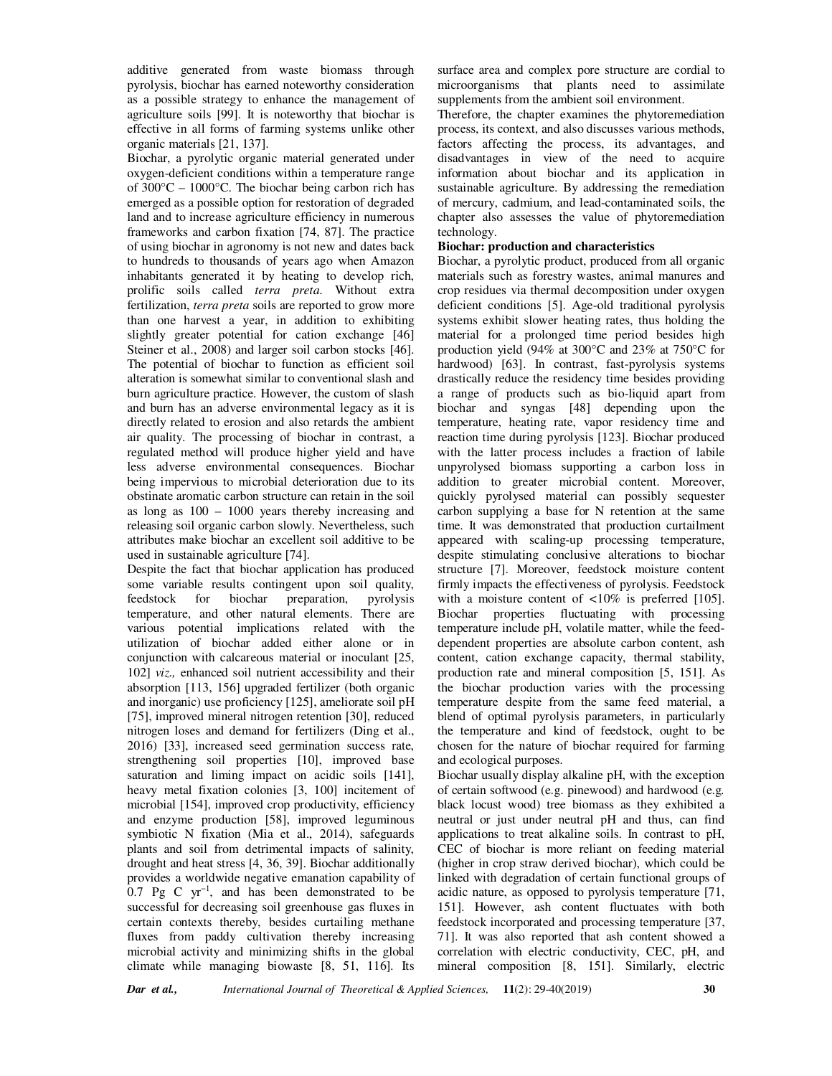additive generated from waste biomass through pyrolysis, biochar has earned noteworthy consideration as a possible strategy to enhance the management of agriculture soils [99]. It is noteworthy that biochar is effective in all forms of farming systems unlike other organic materials [21, 137].

Biochar, a pyrolytic organic material generated under oxygen-deficient conditions within a temperature range of  $300^{\circ}$ C –  $1000^{\circ}$ C. The biochar being carbon rich has emerged as a possible option for restoration of degraded land and to increase agriculture efficiency in numerous frameworks and carbon fixation [74, 87]. The practice of using biochar in agronomy is not new and dates back to hundreds to thousands of years ago when Amazon inhabitants generated it by heating to develop rich, prolific soils called *terra preta*. Without extra fertilization, *terra preta* soils are reported to grow more than one harvest a year, in addition to exhibiting slightly greater potential for cation exchange [46] Steiner et al., 2008) and larger soil carbon stocks [46]. The potential of biochar to function as efficient soil alteration is somewhat similar to conventional slash and burn agriculture practice. However, the custom of slash and burn has an adverse environmental legacy as it is directly related to erosion and also retards the ambient air quality. The processing of biochar in contrast, a regulated method will produce higher yield and have less adverse environmental consequences. Biochar being impervious to microbial deterioration due to its obstinate aromatic carbon structure can retain in the soil as long as 100 – 1000 years thereby increasing and releasing soil organic carbon slowly. Nevertheless, such attributes make biochar an excellent soil additive to be used in sustainable agriculture [74].

Despite the fact that biochar application has produced some variable results contingent upon soil quality, feedstock for biochar preparation, pyrolysis temperature, and other natural elements. There are various potential implications related with the utilization of biochar added either alone or in conjunction with calcareous material or inoculant [25, 102] *viz.,* enhanced soil nutrient accessibility and their absorption [113, 156] upgraded fertilizer (both organic and inorganic) use proficiency [125], ameliorate soil pH [75], improved mineral nitrogen retention [30], reduced nitrogen loses and demand for fertilizers (Ding et al., 2016) [33], increased seed germination success rate, strengthening soil properties [10], improved base saturation and liming impact on acidic soils [141], heavy metal fixation colonies [3, 100] incitement of microbial [154], improved crop productivity, efficiency and enzyme production [58], improved leguminous symbiotic N fixation (Mia et al., 2014), safeguards plants and soil from detrimental impacts of salinity, drought and heat stress [4, 36, 39]. Biochar additionally provides a worldwide negative emanation capability of 0.7 Pg C yr−1, and has been demonstrated to be successful for decreasing soil greenhouse gas fluxes in certain contexts thereby, besides curtailing methane fluxes from paddy cultivation thereby increasing microbial activity and minimizing shifts in the global climate while managing biowaste [8, 51, 116]. Its

surface area and complex pore structure are cordial to microorganisms that plants need to assimilate supplements from the ambient soil environment.

Therefore, the chapter examines the phytoremediation process, its context, and also discusses various methods, factors affecting the process, its advantages, and disadvantages in view of the need to acquire information about biochar and its application in sustainable agriculture. By addressing the remediation of mercury, cadmium, and lead-contaminated soils, the chapter also assesses the value of phytoremediation technology.

#### **Biochar: production and characteristics**

Biochar, a pyrolytic product, produced from all organic materials such as forestry wastes, animal manures and crop residues via thermal decomposition under oxygen deficient conditions [5]. Age-old traditional pyrolysis systems exhibit slower heating rates, thus holding the material for a prolonged time period besides high production yield (94% at 300°C and 23% at 750°C for hardwood) [63]. In contrast, fast-pyrolysis systems drastically reduce the residency time besides providing a range of products such as bio-liquid apart from biochar and syngas [48] depending upon the temperature, heating rate, vapor residency time and reaction time during pyrolysis [123]. Biochar produced with the latter process includes a fraction of labile unpyrolysed biomass supporting a carbon loss in addition to greater microbial content. Moreover, quickly pyrolysed material can possibly sequester carbon supplying a base for N retention at the same time. It was demonstrated that production curtailment appeared with scaling-up processing temperature, despite stimulating conclusive alterations to biochar structure [7]. Moreover, feedstock moisture content firmly impacts the effectiveness of pyrolysis. Feedstock with a moisture content of *<*10% is preferred [105]. Biochar properties fluctuating with processing temperature include pH, volatile matter, while the feeddependent properties are absolute carbon content, ash content, cation exchange capacity, thermal stability, production rate and mineral composition [5, 151]. As the biochar production varies with the processing temperature despite from the same feed material, a blend of optimal pyrolysis parameters, in particularly the temperature and kind of feedstock, ought to be chosen for the nature of biochar required for farming and ecological purposes.

Biochar usually display alkaline pH, with the exception of certain softwood (e.g. pinewood) and hardwood (e.g*.* black locust wood) tree biomass as they exhibited a neutral or just under neutral pH and thus, can find applications to treat alkaline soils. In contrast to pH, CEC of biochar is more reliant on feeding material (higher in crop straw derived biochar), which could be linked with degradation of certain functional groups of acidic nature, as opposed to pyrolysis temperature [71, 151]. However, ash content fluctuates with both feedstock incorporated and processing temperature [37, 71]. It was also reported that ash content showed a correlation with electric conductivity, CEC, pH, and mineral composition [8, 151]. Similarly, electric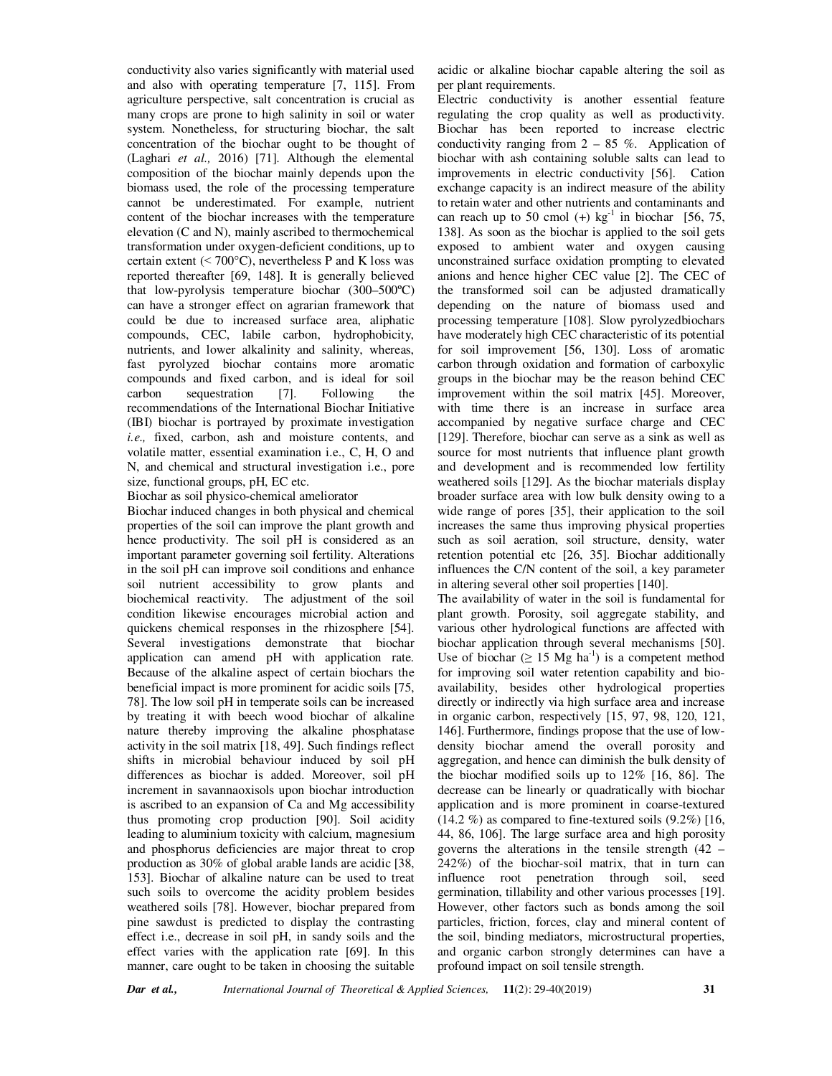conductivity also varies significantly with material used and also with operating temperature [7, 115]. From agriculture perspective, salt concentration is crucial as many crops are prone to high salinity in soil or water system. Nonetheless, for structuring biochar, the salt concentration of the biochar ought to be thought of (Laghari *et al.,* 2016) [71]. Although the elemental composition of the biochar mainly depends upon the biomass used, the role of the processing temperature cannot be underestimated. For example, nutrient content of the biochar increases with the temperature elevation (C and N), mainly ascribed to thermochemical transformation under oxygen-deficient conditions, up to certain extent ( $\leq 700^{\circ}$ C), nevertheless P and K loss was reported thereafter [69, 148]. It is generally believed that low-pyrolysis temperature biochar (300–500ºC) can have a stronger effect on agrarian framework that could be due to increased surface area, aliphatic compounds, CEC, labile carbon, hydrophobicity, nutrients, and lower alkalinity and salinity, whereas, fast pyrolyzed biochar contains more aromatic compounds and fixed carbon, and is ideal for soil carbon sequestration [7]. Following the recommendations of the International Biochar Initiative (IBI) biochar is portrayed by proximate investigation *i.e.,* fixed, carbon, ash and moisture contents, and volatile matter, essential examination i.e., C, H, O and N, and chemical and structural investigation i.e., pore size, functional groups, pH, EC etc.

Biochar as soil physico-chemical ameliorator

Biochar induced changes in both physical and chemical properties of the soil can improve the plant growth and hence productivity. The soil pH is considered as an important parameter governing soil fertility. Alterations in the soil pH can improve soil conditions and enhance soil nutrient accessibility to grow plants and biochemical reactivity. The adjustment of the soil condition likewise encourages microbial action and quickens chemical responses in the rhizosphere [54]. Several investigations demonstrate that biochar application can amend pH with application rate. Because of the alkaline aspect of certain biochars the beneficial impact is more prominent for acidic soils [75, 78]. The low soil pH in temperate soils can be increased by treating it with beech wood biochar of alkaline nature thereby improving the alkaline phosphatase activity in the soil matrix [18, 49]. Such findings reflect shifts in microbial behaviour induced by soil pH differences as biochar is added. Moreover, soil pH increment in savannaoxisols upon biochar introduction is ascribed to an expansion of Ca and Mg accessibility thus promoting crop production [90]. Soil acidity leading to aluminium toxicity with calcium, magnesium and phosphorus deficiencies are major threat to crop production as 30% of global arable lands are acidic [38, 153]. Biochar of alkaline nature can be used to treat such soils to overcome the acidity problem besides weathered soils [78]. However, biochar prepared from pine sawdust is predicted to display the contrasting effect i.e., decrease in soil pH, in sandy soils and the effect varies with the application rate [69]. In this manner, care ought to be taken in choosing the suitable acidic or alkaline biochar capable altering the soil as per plant requirements.

Electric conductivity is another essential feature regulating the crop quality as well as productivity. Biochar has been reported to increase electric conductivity ranging from  $2 - 85$  %. Application of biochar with ash containing soluble salts can lead to improvements in electric conductivity [56]. Cation exchange capacity is an indirect measure of the ability to retain water and other nutrients and contaminants and can reach up to 50 cmol  $(+)$  kg<sup>-1</sup> in biochar [56, 75, 138]. As soon as the biochar is applied to the soil gets exposed to ambient water and oxygen causing unconstrained surface oxidation prompting to elevated anions and hence higher CEC value [2]. The CEC of the transformed soil can be adjusted dramatically depending on the nature of biomass used and processing temperature [108]. Slow pyrolyzedbiochars have moderately high CEC characteristic of its potential for soil improvement [56, 130]. Loss of aromatic carbon through oxidation and formation of carboxylic groups in the biochar may be the reason behind CEC improvement within the soil matrix [45]. Moreover, with time there is an increase in surface area accompanied by negative surface charge and CEC [129]. Therefore, biochar can serve as a sink as well as source for most nutrients that influence plant growth and development and is recommended low fertility weathered soils [129]. As the biochar materials display broader surface area with low bulk density owing to a wide range of pores [35], their application to the soil increases the same thus improving physical properties such as soil aeration, soil structure, density, water retention potential etc [26, 35]. Biochar additionally influences the C/N content of the soil, a key parameter in altering several other soil properties [140].

The availability of water in the soil is fundamental for plant growth. Porosity, soil aggregate stability, and various other hydrological functions are affected with biochar application through several mechanisms [50]. Use of biochar ( $\geq$  15 Mg ha<sup>-1</sup>) is a competent method for improving soil water retention capability and bioavailability, besides other hydrological properties directly or indirectly via high surface area and increase in organic carbon, respectively [15, 97, 98, 120, 121, 146]. Furthermore, findings propose that the use of lowdensity biochar amend the overall porosity and aggregation, and hence can diminish the bulk density of the biochar modified soils up to 12% [16, 86]. The decrease can be linearly or quadratically with biochar application and is more prominent in coarse-textured  $(14.2 \%)$  as compared to fine-textured soils  $(9.2\%)$  [16, 44, 86, 106]. The large surface area and high porosity governs the alterations in the tensile strength (42 – 242%) of the biochar-soil matrix, that in turn can influence root penetration through soil, seed germination, tillability and other various processes [19]. However, other factors such as bonds among the soil particles, friction, forces, clay and mineral content of the soil, binding mediators, microstructural properties, and organic carbon strongly determines can have a profound impact on soil tensile strength.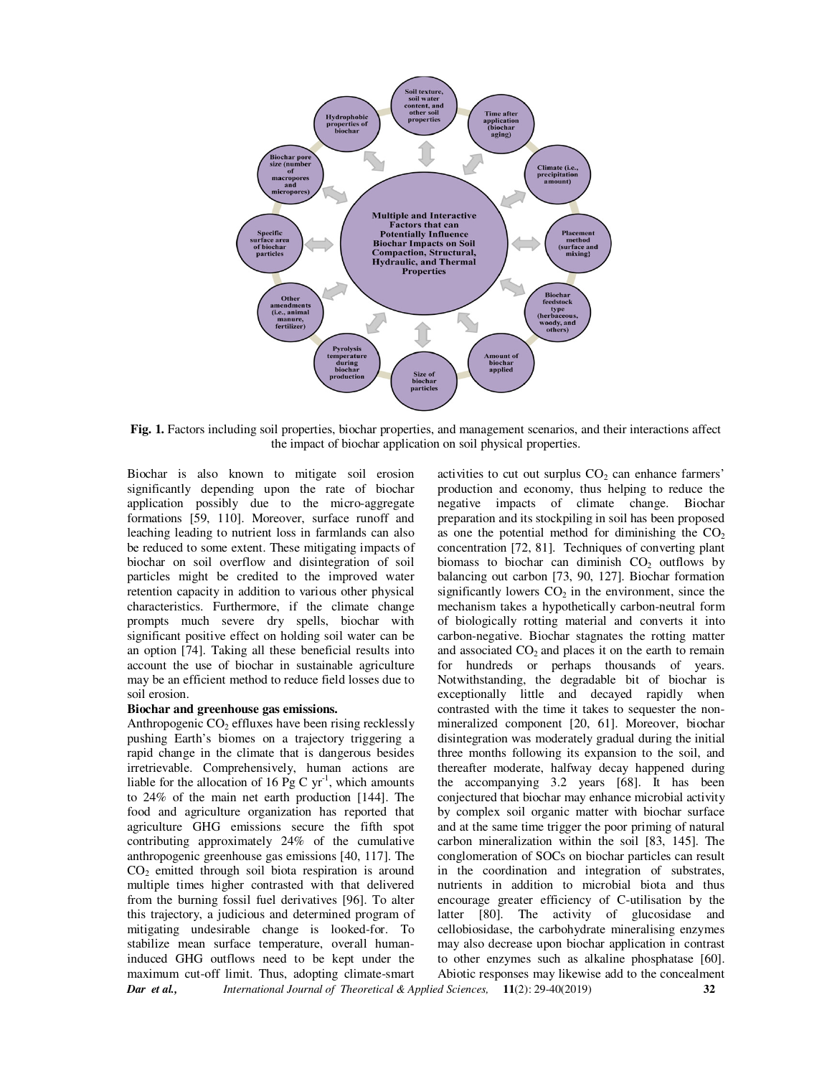

**Fig. 1.** Factors including soil properties, biochar properties, and management scenarios, and their interactions affect the impact of biochar application on soil physical properties.

Biochar is also known to mitigate soil erosion significantly depending upon the rate of biochar application possibly due to the micro-aggregate formations [59, 110]. Moreover, surface runoff and leaching leading to nutrient loss in farmlands can also be reduced to some extent. These mitigating impacts of biochar on soil overflow and disintegration of soil particles might be credited to the improved water retention capacity in addition to various other physical characteristics. Furthermore, if the climate change prompts much severe dry spells, biochar with significant positive effect on holding soil water can be an option [74]. Taking all these beneficial results into account the use of biochar in sustainable agriculture may be an efficient method to reduce field losses due to soil erosion.

#### **Biochar and greenhouse gas emissions.**

*Dar et al., International Journal of Theoretical & Applied Sciences,* **11**(2): 29-40(2019) **32** Anthropogenic  $CO<sub>2</sub>$  effluxes have been rising recklessly pushing Earth's biomes on a trajectory triggering a rapid change in the climate that is dangerous besides irretrievable. Comprehensively, human actions are liable for the allocation of 16 Pg C  $yr^{-1}$ , which amounts to 24% of the main net earth production [144]. The food and agriculture organization has reported that agriculture GHG emissions secure the fifth spot contributing approximately 24% of the cumulative anthropogenic greenhouse gas emissions [40, 117]. The  $CO<sub>2</sub>$  emitted through soil biota respiration is around multiple times higher contrasted with that delivered from the burning fossil fuel derivatives [96]. To alter this trajectory, a judicious and determined program of mitigating undesirable change is looked-for. To stabilize mean surface temperature, overall humaninduced GHG outflows need to be kept under the maximum cut-off limit. Thus, adopting climate-smart

activities to cut out surplus  $CO<sub>2</sub>$  can enhance farmers' production and economy, thus helping to reduce the negative impacts of climate change. Biochar preparation and its stockpiling in soil has been proposed as one the potential method for diminishing the  $CO<sub>2</sub>$ concentration [72, 81]. Techniques of converting plant biomass to biochar can diminish  $CO<sub>2</sub>$  outflows by balancing out carbon [73, 90, 127]. Biochar formation significantly lowers  $CO<sub>2</sub>$  in the environment, since the mechanism takes a hypothetically carbon-neutral form of biologically rotting material and converts it into carbon-negative. Biochar stagnates the rotting matter and associated  $CO<sub>2</sub>$  and places it on the earth to remain<br>for hundreds or perhaps thousands of vears. hundreds or perhaps thousands of years. Notwithstanding, the degradable bit of biochar is exceptionally little and decayed rapidly when contrasted with the time it takes to sequester the nonmineralized component [20, 61]. Moreover, biochar disintegration was moderately gradual during the initial three months following its expansion to the soil, and thereafter moderate, halfway decay happened during the accompanying 3.2 years [68]. It has been conjectured that biochar may enhance microbial activity by complex soil organic matter with biochar surface and at the same time trigger the poor priming of natural carbon mineralization within the soil [83, 145]. The conglomeration of SOCs on biochar particles can result in the coordination and integration of substrates, nutrients in addition to microbial biota and thus encourage greater efficiency of C-utilisation by the latter [80]. The activity of glucosidase and cellobiosidase, the carbohydrate mineralising enzymes may also decrease upon biochar application in contrast to other enzymes such as alkaline phosphatase [60]. Abiotic responses may likewise add to the concealment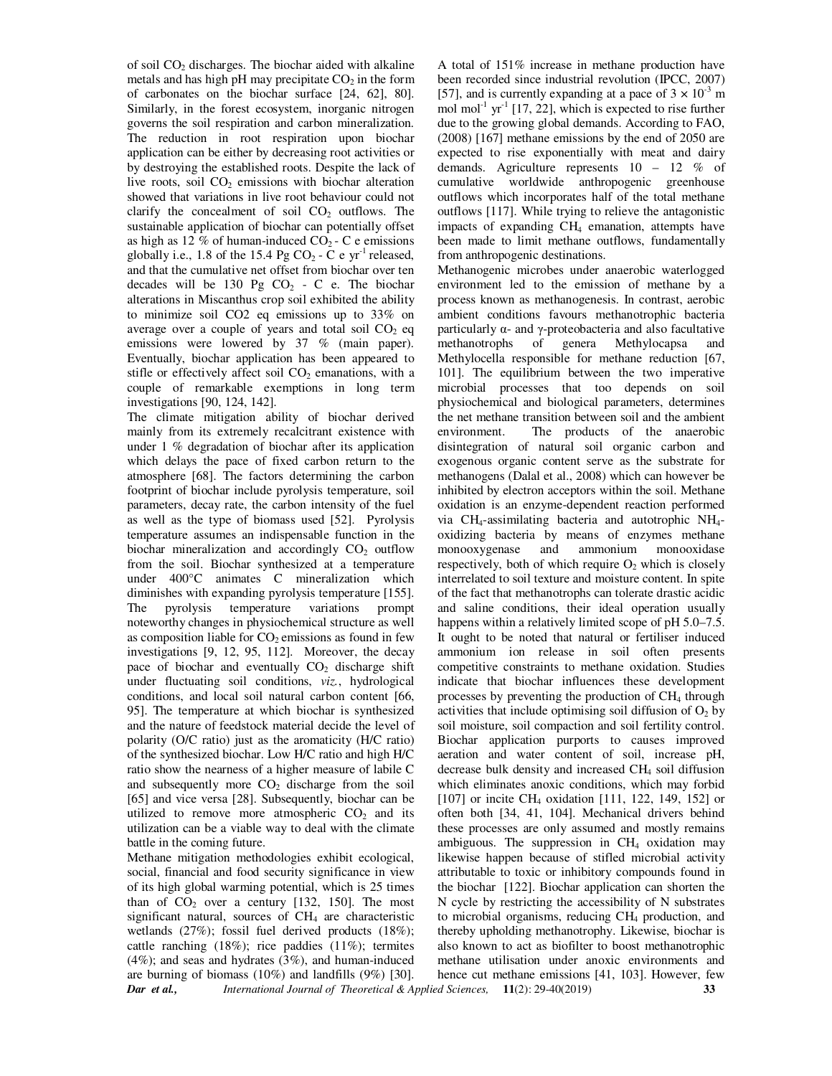of soil  $CO<sub>2</sub>$  discharges. The biochar aided with alkaline metals and has high pH may precipitate  $CO<sub>2</sub>$  in the form of carbonates on the biochar surface [24, 62], 80]. Similarly, in the forest ecosystem, inorganic nitrogen governs the soil respiration and carbon mineralization. The reduction in root respiration upon biochar application can be either by decreasing root activities or by destroying the established roots. Despite the lack of live roots, soil  $CO<sub>2</sub>$  emissions with biochar alteration showed that variations in live root behaviour could not clarify the concealment of soil  $CO<sub>2</sub>$  outflows. The sustainable application of biochar can potentially offset as high as 12 % of human-induced  $CO<sub>2</sub> - C$  e emissions globally i.e., 1.8 of the 15.4 Pg  $CO_2$  - C e yr<sup>-1</sup> released, and that the cumulative net offset from biochar over ten decades will be 130 Pg  $CO<sub>2</sub> - C$  e. The biochar alterations in Miscanthus crop soil exhibited the ability to minimize soil CO2 eq emissions up to 33% on average over a couple of years and total soil  $CO<sub>2</sub>$  eq emissions were lowered by 37 % (main paper). Eventually, biochar application has been appeared to stifle or effectively affect soil  $CO<sub>2</sub>$  emanations, with a couple of remarkable exemptions in long term investigations [90, 124, 142].

The climate mitigation ability of biochar derived mainly from its extremely recalcitrant existence with under 1 % degradation of biochar after its application which delays the pace of fixed carbon return to the atmosphere [68]. The factors determining the carbon footprint of biochar include pyrolysis temperature, soil parameters, decay rate, the carbon intensity of the fuel as well as the type of biomass used [52]. Pyrolysis temperature assumes an indispensable function in the biochar mineralization and accordingly  $CO<sub>2</sub>$  outflow from the soil. Biochar synthesized at a temperature under 400°C animates C mineralization which diminishes with expanding pyrolysis temperature [155]. The pyrolysis temperature variations prompt noteworthy changes in physiochemical structure as well as composition liable for  $CO<sub>2</sub>$  emissions as found in few investigations [9, 12, 95, 112]. Moreover, the decay pace of biochar and eventually  $CO<sub>2</sub>$  discharge shift under fluctuating soil conditions, *viz.*, hydrological conditions, and local soil natural carbon content [66, 95]. The temperature at which biochar is synthesized and the nature of feedstock material decide the level of polarity (O/C ratio) just as the aromaticity (H/C ratio) of the synthesized biochar. Low H/C ratio and high H/C ratio show the nearness of a higher measure of labile C and subsequently more  $CO<sub>2</sub>$  discharge from the soil [65] and vice versa [28]. Subsequently, biochar can be utilized to remove more atmospheric  $CO<sub>2</sub>$  and its utilization can be a viable way to deal with the climate battle in the coming future.

Methane mitigation methodologies exhibit ecological, social, financial and food security significance in view of its high global warming potential, which is 25 times than of  $CO<sub>2</sub>$  over a century [132, 150]. The most significant natural, sources of  $CH<sub>4</sub>$  are characteristic wetlands (27%); fossil fuel derived products (18%); cattle ranching (18%); rice paddies (11%); termites  $(4\%)$ ; and seas and hydrates  $(3\%)$ , and human-induced are burning of biomass (10%) and landfills (9%) [30].

A total of 151% increase in methane production have been recorded since industrial revolution (IPCC, 2007) [57], and is currently expanding at a pace of  $3 \times 10^{-3}$  m mol mol<sup>-1</sup> yr<sup>-1</sup> [17, 22], which is expected to rise further due to the growing global demands. According to FAO, (2008) [167] methane emissions by the end of 2050 are expected to rise exponentially with meat and dairy demands. Agriculture represents 10 – 12 % of cumulative worldwide anthropogenic greenhouse outflows which incorporates half of the total methane outflows [117]. While trying to relieve the antagonistic impacts of expanding  $CH<sub>4</sub>$  emanation, attempts have been made to limit methane outflows, fundamentally from anthropogenic destinations.

*Dar et al., International Journal of Theoretical & Applied Sciences,* **11**(2): 29-40(2019) **33** Methanogenic microbes under anaerobic waterlogged environment led to the emission of methane by a process known as methanogenesis. In contrast, aerobic ambient conditions favours methanotrophic bacteria particularly α- and γ-proteobacteria and also facultative methanotrophs of genera Methylocapsa and Methylocella responsible for methane reduction [67, 101]. The equilibrium between the two imperative microbial processes that too depends on soil physiochemical and biological parameters, determines the net methane transition between soil and the ambient environment. The products of the anaerobic disintegration of natural soil organic carbon and exogenous organic content serve as the substrate for methanogens (Dalal et al., 2008) which can however be inhibited by electron acceptors within the soil. Methane oxidation is an enzyme-dependent reaction performed via  $CH_4$ -assimilating bacteria and autotrophic NH<sub>4</sub>oxidizing bacteria by means of enzymes methane monooxygenase and ammonium monooxidase respectively, both of which require  $O_2$  which is closely interrelated to soil texture and moisture content. In spite of the fact that methanotrophs can tolerate drastic acidic and saline conditions, their ideal operation usually happens within a relatively limited scope of pH 5.0–7.5. It ought to be noted that natural or fertiliser induced ammonium ion release in soil often presents competitive constraints to methane oxidation. Studies indicate that biochar influences these development processes by preventing the production of  $CH<sub>4</sub>$  through activities that include optimising soil diffusion of  $O_2$  by soil moisture, soil compaction and soil fertility control. Biochar application purports to causes improved aeration and water content of soil, increase pH, decrease bulk density and increased CH4 soil diffusion which eliminates anoxic conditions, which may forbid  $[107]$  or incite CH<sub>4</sub> oxidation  $[111, 122, 149, 152]$  or often both [34, 41, 104]. Mechanical drivers behind these processes are only assumed and mostly remains ambiguous. The suppression in  $CH<sub>4</sub>$  oxidation may likewise happen because of stifled microbial activity attributable to toxic or inhibitory compounds found in the biochar [122]. Biochar application can shorten the N cycle by restricting the accessibility of N substrates to microbial organisms, reducing CH4 production, and thereby upholding methanotrophy. Likewise, biochar is also known to act as biofilter to boost methanotrophic methane utilisation under anoxic environments and hence cut methane emissions [41, 103]. However, few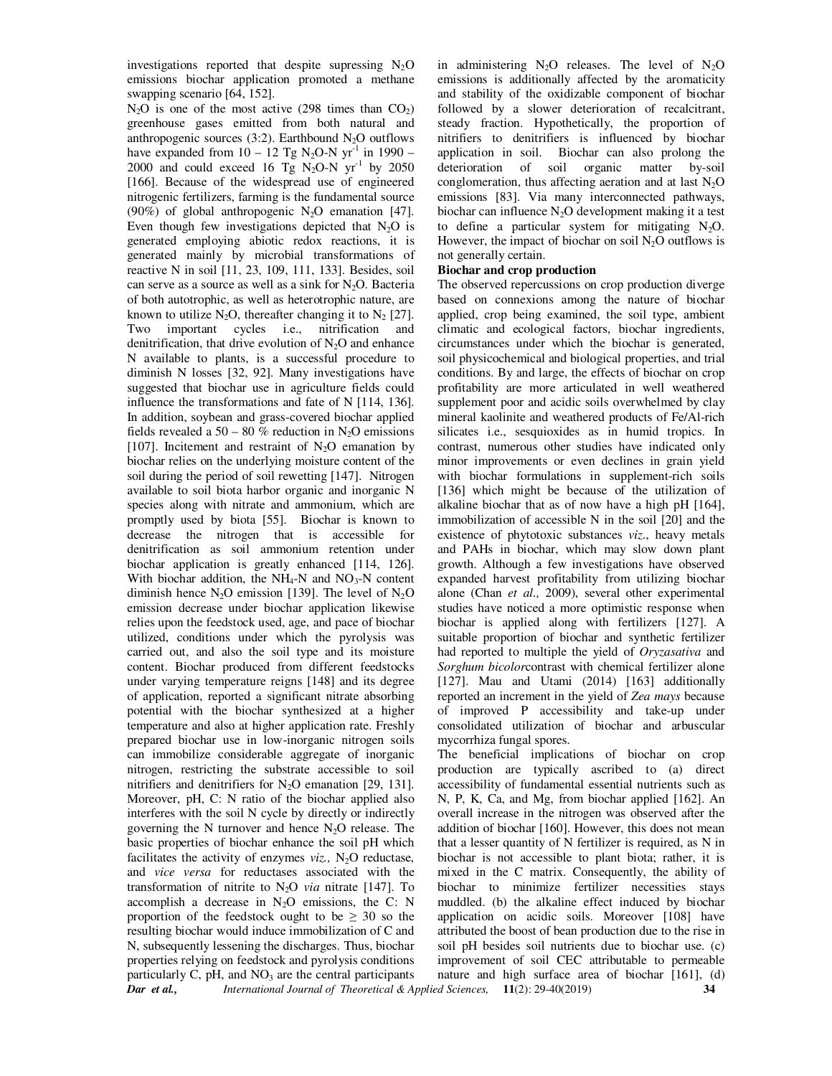investigations reported that despite supressing  $N<sub>2</sub>O$ emissions biochar application promoted a methane swapping scenario [64, 152].

*Dar et al., International Journal of Theoretical & Applied Sciences,* **11**(2): 29-40(2019) **34**  $N_2O$  is one of the most active (298 times than  $CO<sub>2</sub>$ ) greenhouse gases emitted from both natural and anthropogenic sources  $(3:2)$ . Earthbound N<sub>2</sub>O outflows have expanded from  $10 - 12$  Tg N<sub>2</sub>O-N yr<sup>-1</sup> in 1990 – 2000 and could exceed 16 Tg N<sub>2</sub>O-N  $yr^{-1}$  by 2050 [166]. Because of the widespread use of engineered nitrogenic fertilizers, farming is the fundamental source (90%) of global anthropogenic  $N_2O$  emanation [47]. Even though few investigations depicted that  $N_2O$  is generated employing abiotic redox reactions, it is generated mainly by microbial transformations of reactive N in soil [11, 23, 109, 111, 133]. Besides, soil can serve as a source as well as a sink for  $N_2O$ . Bacteria of both autotrophic, as well as heterotrophic nature, are known to utilize N<sub>2</sub>O, thereafter changing it to N<sub>2</sub> [27]. Two important cycles i.e., nitrification and denitrification, that drive evolution of  $N_2O$  and enhance N available to plants, is a successful procedure to diminish N losses [32, 92]. Many investigations have suggested that biochar use in agriculture fields could influence the transformations and fate of N [114, 136]. In addition, soybean and grass-covered biochar applied fields revealed a 50 – 80 % reduction in N<sub>2</sub>O emissions [107]. Incitement and restraint of  $N_2O$  emanation by biochar relies on the underlying moisture content of the soil during the period of soil rewetting [147]. Nitrogen available to soil biota harbor organic and inorganic N species along with nitrate and ammonium, which are promptly used by biota [55]. Biochar is known to decrease the nitrogen that is accessible for denitrification as soil ammonium retention under biochar application is greatly enhanced [114, 126]. With biochar addition, the  $NH_4-N$  and  $NO_3-N$  content diminish hence  $N_2O$  emission [139]. The level of  $N_2O$ emission decrease under biochar application likewise relies upon the feedstock used, age, and pace of biochar utilized, conditions under which the pyrolysis was carried out, and also the soil type and its moisture content. Biochar produced from different feedstocks under varying temperature reigns [148] and its degree of application, reported a significant nitrate absorbing potential with the biochar synthesized at a higher temperature and also at higher application rate. Freshly prepared biochar use in low-inorganic nitrogen soils can immobilize considerable aggregate of inorganic nitrogen, restricting the substrate accessible to soil nitrifiers and denitrifiers for  $N_2O$  emanation [29, 131]. Moreover, pH, C: N ratio of the biochar applied also interferes with the soil N cycle by directly or indirectly governing the N turnover and hence  $N_2O$  release. The basic properties of biochar enhance the soil pH which facilitates the activity of enzymes  $viz.$ , N<sub>2</sub>O reductase, and *vice versa* for reductases associated with the transformation of nitrite to N2O *via* nitrate [147]. To accomplish a decrease in  $N_2O$  emissions, the C: N proportion of the feedstock ought to be  $\geq$  30 so the resulting biochar would induce immobilization of C and N, subsequently lessening the discharges. Thus, biochar properties relying on feedstock and pyrolysis conditions particularly C, pH, and  $NO<sub>3</sub>$  are the central participants

in administering  $N_2O$  releases. The level of  $N_2O$ emissions is additionally affected by the aromaticity and stability of the oxidizable component of biochar followed by a slower deterioration of recalcitrant, steady fraction. Hypothetically, the proportion of nitrifiers to denitrifiers is influenced by biochar application in soil. Biochar can also prolong the deterioration of soil organic matter by-soil conglomeration, thus affecting aeration and at last  $N_2O$ emissions [83]. Via many interconnected pathways, biochar can influence  $N_2O$  development making it a test to define a particular system for mitigating  $N_2O$ . However, the impact of biochar on soil  $N_2O$  outflows is not generally certain.

### **Biochar and crop production**

The observed repercussions on crop production diverge based on connexions among the nature of biochar applied, crop being examined, the soil type, ambient climatic and ecological factors, biochar ingredients, circumstances under which the biochar is generated, soil physicochemical and biological properties, and trial conditions. By and large, the effects of biochar on crop profitability are more articulated in well weathered supplement poor and acidic soils overwhelmed by clay mineral kaolinite and weathered products of Fe/Al-rich silicates i.e., sesquioxides as in humid tropics. In contrast, numerous other studies have indicated only minor improvements or even declines in grain yield with biochar formulations in supplement-rich soils [136] which might be because of the utilization of alkaline biochar that as of now have a high pH [164], immobilization of accessible N in the soil [20] and the existence of phytotoxic substances *viz*., heavy metals and PAHs in biochar, which may slow down plant growth. Although a few investigations have observed expanded harvest profitability from utilizing biochar alone (Chan *et al.,* 2009), several other experimental studies have noticed a more optimistic response when biochar is applied along with fertilizers [127]. A suitable proportion of biochar and synthetic fertilizer had reported to multiple the yield of *Oryzasativa* and *Sorghum bicolor*contrast with chemical fertilizer alone [127]. Mau and Utami (2014) [163] additionally reported an increment in the yield of *Zea mays* because of improved P accessibility and take-up under consolidated utilization of biochar and arbuscular mycorrhiza fungal spores.

The beneficial implications of biochar on crop production are typically ascribed to (a) direct accessibility of fundamental essential nutrients such as N, P, K, Ca, and Mg, from biochar applied [162]. An overall increase in the nitrogen was observed after the addition of biochar [160]. However, this does not mean that a lesser quantity of N fertilizer is required, as N in biochar is not accessible to plant biota; rather, it is mixed in the C matrix. Consequently, the ability of biochar to minimize fertilizer necessities stays muddled. (b) the alkaline effect induced by biochar application on acidic soils. Moreover [108] have attributed the boost of bean production due to the rise in soil pH besides soil nutrients due to biochar use. (c) improvement of soil CEC attributable to permeable nature and high surface area of biochar [161], (d)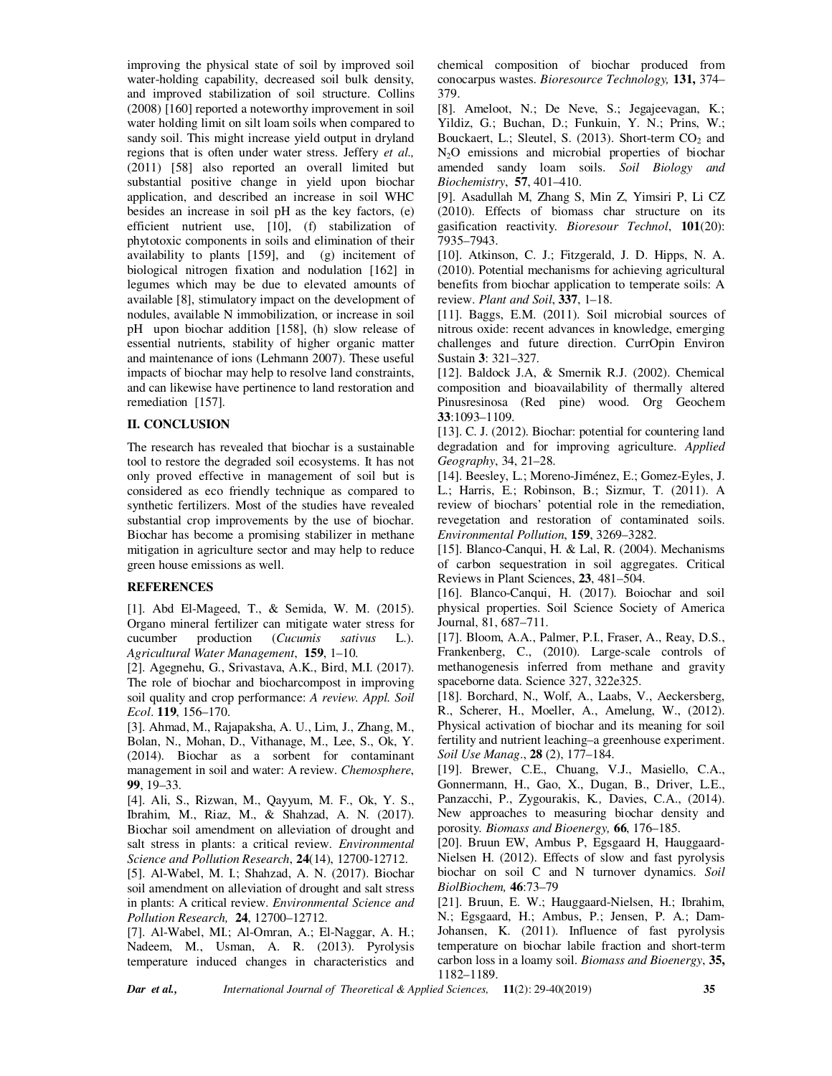improving the physical state of soil by improved soil water-holding capability, decreased soil bulk density, and improved stabilization of soil structure. Collins (2008) [160] reported a noteworthy improvement in soil water holding limit on silt loam soils when compared to sandy soil. This might increase yield output in dryland regions that is often under water stress. Jeffery *et al.,* (2011) [58] also reported an overall limited but substantial positive change in yield upon biochar application, and described an increase in soil WHC besides an increase in soil pH as the key factors, (e) efficient nutrient use, [10], (f) stabilization of phytotoxic components in soils and elimination of their availability to plants [159], and (g) incitement of biological nitrogen fixation and nodulation [162] in legumes which may be due to elevated amounts of available [8], stimulatory impact on the development of nodules, available N immobilization, or increase in soil pH upon biochar addition [158], (h) slow release of essential nutrients, stability of higher organic matter and maintenance of ions (Lehmann 2007). These useful impacts of biochar may help to resolve land constraints, and can likewise have pertinence to land restoration and remediation [157].

## **II. CONCLUSION**

The research has revealed that biochar is a sustainable tool to restore the degraded soil ecosystems. It has not only proved effective in management of soil but is considered as eco friendly technique as compared to synthetic fertilizers. Most of the studies have revealed substantial crop improvements by the use of biochar. Biochar has become a promising stabilizer in methane mitigation in agriculture sector and may help to reduce green house emissions as well.

#### **REFERENCES**

[1]. Abd El-Mageed, T., & Semida, W. M. (2015). Organo mineral fertilizer can mitigate water stress for cucumber production (*Cucumis sativus* L.). *Agricultural Water Management*, **159**, 1–10.

[2]. Agegnehu, G., Srivastava, A.K., Bird, M.I. (2017). The role of biochar and biocharcompost in improving soil quality and crop performance: *A review. Appl. Soil Ecol*. **119**, 156–170.

[3]. Ahmad, M., Rajapaksha, A. U., Lim, J., Zhang, M., Bolan, N., Mohan, D., Vithanage, M., Lee, S., Ok, Y. (2014). Biochar as a sorbent for contaminant management in soil and water: A review. *Chemosphere*, **99**, 19–33.

[4]. Ali, S., Rizwan, M., Qayyum, M. F., Ok, Y. S., Ibrahim, M., Riaz, M., & Shahzad, A. N. (2017). Biochar soil amendment on alleviation of drought and salt stress in plants: a critical review. *Environmental Science and Pollution Research*, **24**(14), 12700-12712.

[5]. Al-Wabel, M. I.; Shahzad, A. N. (2017). Biochar soil amendment on alleviation of drought and salt stress in plants: A critical review. *Environmental Science and Pollution Research,* **24**, 12700–12712.

[7]. Al-Wabel, MI.; Al-Omran, A.; El-Naggar, A. H.; Nadeem, M., Usman, A. R. (2013). Pyrolysis temperature induced changes in characteristics and chemical composition of biochar produced from conocarpus wastes. *Bioresource Technology,* **131,** 374– 379.

[8]. Ameloot, N.; De Neve, S.; Jegajeevagan, K.; Yildiz, G.; Buchan, D.; Funkuin, Y. N.; Prins, W.; Bouckaert, L.; Sleutel, S. (2013). Short-term  $CO<sub>2</sub>$  and N2O emissions and microbial properties of biochar amended sandy loam soils. *Soil Biology and Biochemistry*, **57**, 401–410.

[9]. Asadullah M, Zhang S, Min Z, Yimsiri P, Li CZ (2010). Effects of biomass char structure on its gasification reactivity. *Bioresour Technol*, **101**(20): 7935–7943.

[10]. Atkinson, C. J.; Fitzgerald, J. D. Hipps, N. A. (2010). Potential mechanisms for achieving agricultural benefits from biochar application to temperate soils: A review. *Plant and Soil*, **337**, 1–18.

[11]. Baggs, E.M. (2011). Soil microbial sources of nitrous oxide: recent advances in knowledge, emerging challenges and future direction. CurrOpin Environ Sustain **3**: 321–327.

[12]. Baldock J.A, & Smernik R.J. (2002). Chemical composition and bioavailability of thermally altered Pinusresinosa (Red pine) wood. Org Geochem **33**:1093–1109.

[13]. C. J. (2012). Biochar: potential for countering land degradation and for improving agriculture. *Applied Geography*, 34, 21–28.

[14]. Beesley, L.; Moreno-Jiménez, E.; Gomez-Eyles, J. L.; Harris, E.; Robinson, B.; Sizmur, T. (2011). A review of biochars' potential role in the remediation, revegetation and restoration of contaminated soils. *Environmental Pollution*, **159**, 3269–3282.

[15]. Blanco-Canqui, H. & Lal, R. (2004). Mechanisms of carbon sequestration in soil aggregates. Critical Reviews in Plant Sciences, **23**, 481–504.

[16]. Blanco-Canqui, H. (2017). Boiochar and soil physical properties. Soil Science Society of America Journal, 81, 687–711.

[17]. Bloom, A.A., Palmer, P.I., Fraser, A., Reay, D.S., Frankenberg, C., (2010). Large-scale controls of methanogenesis inferred from methane and gravity spaceborne data. Science 327, 322e325.

[18]. Borchard, N., Wolf, A., Laabs, V., Aeckersberg, R., Scherer, H., Moeller, A., Amelung, W., (2012). Physical activation of biochar and its meaning for soil fertility and nutrient leaching–a greenhouse experiment. *Soil Use Manag*., **28** (2), 177–184.

[19]. Brewer, C.E., Chuang, V.J., Masiello, C.A., Gonnermann, H., Gao, X., Dugan, B., Driver, L.E., Panzacchi, P., Zygourakis, K*.,* Davies, C.A., (2014). New approaches to measuring biochar density and porosity*. Biomass and Bioenergy,* **66**, 176–185.

[20]. Bruun EW, Ambus P, Egsgaard H, Hauggaard-Nielsen H. (2012). Effects of slow and fast pyrolysis biochar on soil C and N turnover dynamics. *Soil BiolBiochem,* **46**:73–79

[21]. Bruun, E. W.; Hauggaard-Nielsen, H.; Ibrahim, N.; Egsgaard, H.; Ambus, P.; Jensen, P. A.; Dam-Johansen, K. (2011). Influence of fast pyrolysis temperature on biochar labile fraction and short-term carbon loss in a loamy soil. *Biomass and Bioenergy*, **35,**  1182–1189.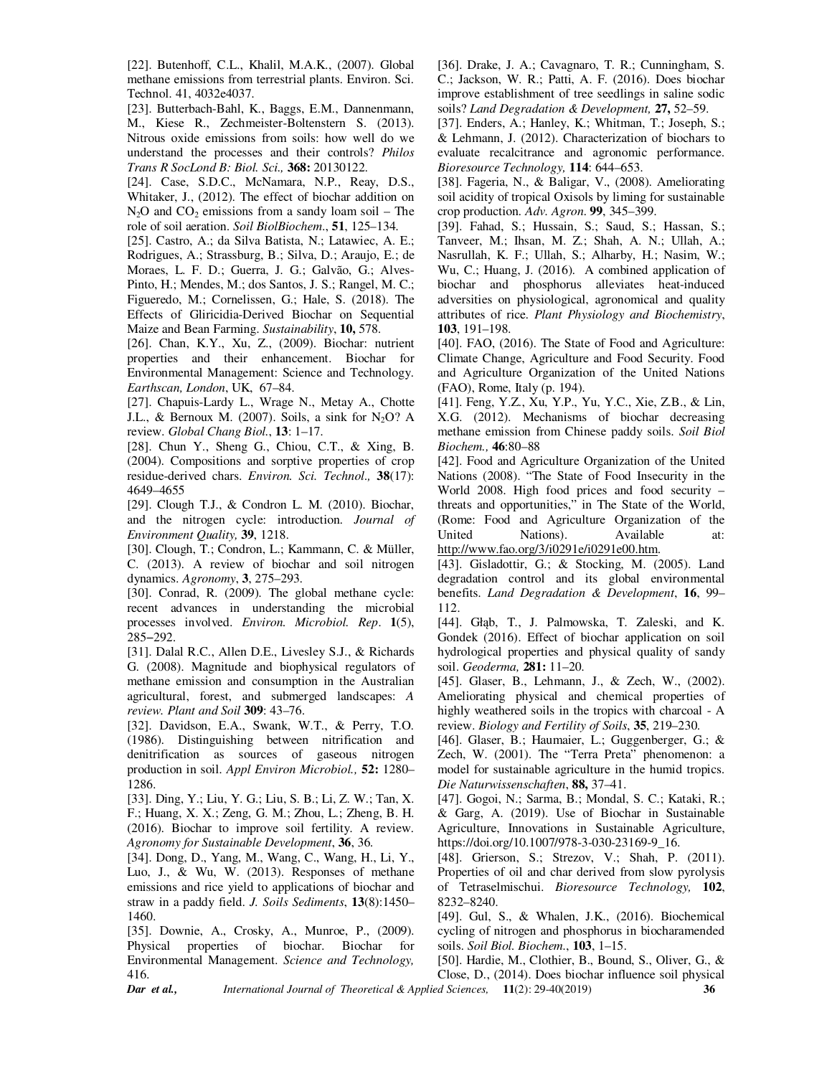[22]. Butenhoff, C.L., Khalil, M.A.K., (2007). Global methane emissions from terrestrial plants. Environ. Sci. Technol. 41, 4032e4037.

[23]. Butterbach-Bahl, K., Baggs, E.M., Dannenmann, M., Kiese R., Zechmeister-Boltenstern S. (2013). Nitrous oxide emissions from soils: how well do we understand the processes and their controls? *Philos Trans R SocLond B: Biol. Sci.,* **368:** 20130122.

[24]. Case, S.D.C., McNamara, N.P., Reay, D.S., Whitaker, J., (2012). The effect of biochar addition on  $N_2O$  and  $CO_2$  emissions from a sandy loam soil – The role of soil aeration. *Soil BiolBiochem*., **51**, 125–134.

[25]. Castro, A.; da Silva Batista, N.; Latawiec, A. E.; Rodrigues, A.; Strassburg, B.; Silva, D.; Araujo, E.; de Moraes, L. F. D.; Guerra, J. G.; Galvão, G.; Alves-Pinto, H.; Mendes, M.; dos Santos, J. S.; Rangel, M. C.; Figueredo, M.; Cornelissen, G.; Hale, S. (2018). The Effects of Gliricidia-Derived Biochar on Sequential Maize and Bean Farming. *Sustainability*, **10,** 578.

[26]. Chan, K.Y., Xu, Z., (2009). Biochar: nutrient properties and their enhancement. Biochar for Environmental Management: Science and Technology. *Earthscan, London*, UK, 67–84.

[27]. Chapuis-Lardy L., Wrage N., Metay A., Chotte J.L., & Bernoux M. (2007). Soils, a sink for  $N_2O$ ? A review. *Global Chang Biol.*, **13**: 1–17.

[28]. Chun Y., Sheng G., Chiou, C.T., & Xing, B. (2004). Compositions and sorptive properties of crop residue-derived chars. *Environ. Sci. Technol.,* **38**(17): 4649–4655

[29]. Clough T.J., & Condron L. M. (2010). Biochar, and the nitrogen cycle: introduction. *Journal of Environment Quality,* **39**, 1218.

[30]. Clough, T.; Condron, L.; Kammann, C. & Müller, C. (2013). A review of biochar and soil nitrogen dynamics. *Agronomy*, **3**, 275–293.

[30]. Conrad, R. (2009). The global methane cycle: recent advances in understanding the microbial processes involved. *Environ. Microbiol. Rep*. **1**(5), 285−292.

[31]. Dalal R.C., Allen D.E., Livesley S.J., & Richards G. (2008). Magnitude and biophysical regulators of methane emission and consumption in the Australian agricultural, forest, and submerged landscapes: *A review. Plant and Soil* **309**: 43–76.

[32]. Davidson, E.A., Swank, W.T., & Perry, T.O. (1986). Distinguishing between nitrification and denitrification as sources of gaseous nitrogen production in soil. *Appl Environ Microbiol.,* **52:** 1280– 1286.

[33]. Ding, Y.; Liu, Y. G.; Liu, S. B.; Li, Z. W.; Tan, X. F.; Huang, X. X.; Zeng, G. M.; Zhou, L.; Zheng, B. H. (2016). Biochar to improve soil fertility. A review. *Agronomy for Sustainable Development*, **36**, 36.

[34]. Dong, D., Yang, M., Wang, C., Wang, H., Li, Y., Luo, J., & Wu, W. (2013). Responses of methane emissions and rice yield to applications of biochar and straw in a paddy field. *J. Soils Sediments*, **13**(8):1450– 1460.

[35]. Downie, A., Crosky, A., Munroe, P., (2009). Physical properties of biochar. Biochar for Environmental Management. *Science and Technology,* 416.

[36]. Drake, J. A.; Cavagnaro, T. R.; Cunningham, S. C.; Jackson, W. R.; Patti, A. F. (2016). Does biochar improve establishment of tree seedlings in saline sodic soils? *Land Degradation & Development,* **27,** 52–59.

[37]. Enders, A.; Hanley, K.; Whitman, T.; Joseph, S.; & Lehmann, J. (2012). Characterization of biochars to evaluate recalcitrance and agronomic performance. *Bioresource Technology,* **114**: 644–653.

[38]. Fageria, N., & Baligar, V., (2008). Ameliorating soil acidity of tropical Oxisols by liming for sustainable crop production. *Adv. Agron*. **99**, 345–399.

[39]. Fahad, S.; Hussain, S.; Saud, S.; Hassan, S.; Tanveer, M.; Ihsan, M. Z.; Shah, A. N.; Ullah, A.; Nasrullah, K. F.; Ullah, S.; Alharby, H.; Nasim, W.; Wu, C.; Huang, J. (2016). A combined application of biochar and phosphorus alleviates heat-induced adversities on physiological, agronomical and quality attributes of rice. *Plant Physiology and Biochemistry*, **103**, 191–198.

[40]. FAO, (2016). The State of Food and Agriculture: Climate Change, Agriculture and Food Security. Food and Agriculture Organization of the United Nations (FAO), Rome, Italy (p. 194).

[41]. Feng, Y.Z., Xu, Y.P., Yu, Y.C., Xie, Z.B., & Lin, X.G. (2012). Mechanisms of biochar decreasing methane emission from Chinese paddy soils. *Soil Biol Biochem.,* **46**:80–88

[42]. Food and Agriculture Organization of the United Nations (2008). "The State of Food Insecurity in the World 2008. High food prices and food security – threats and opportunities," in The State of the World, (Rome: Food and Agriculture Organization of the United Nations). Available at: http://www.fao.org/3/i0291e/i0291e00.htm.

[43]. Gisladottir, G.; & Stocking, M. (2005). Land degradation control and its global environmental benefits. *Land Degradation & Development*, **16**, 99– 112.

[44]. Głąb, T., J. Palmowska, T. Zaleski, and K. Gondek (2016). Effect of biochar application on soil hydrological properties and physical quality of sandy soil. *Geoderma,* **281:** 11–20.

[45]. Glaser, B., Lehmann, J., & Zech, W., (2002). Ameliorating physical and chemical properties of highly weathered soils in the tropics with charcoal - A review. *Biology and Fertility of Soils*, **35**, 219–230.

[46]. Glaser, B.; Haumaier, L.; Guggenberger, G.; & Zech, W. (2001). The "Terra Preta" phenomenon: a model for sustainable agriculture in the humid tropics. *Die Naturwissenschaften*, **88,** 37–41.

[47]. Gogoi, N.; Sarma, B.; Mondal, S. C.; Kataki, R.; & Garg, A. (2019). Use of Biochar in Sustainable Agriculture, Innovations in Sustainable Agriculture, https://doi.org/10.1007/978-3-030-23169-9\_16.

[48]. Grierson, S.; Strezov, V.; Shah, P. (2011). Properties of oil and char derived from slow pyrolysis of Tetraselmischui. *Bioresource Technology,* **102**, 8232–8240.

[49]. Gul, S., & Whalen, J.K., (2016). Biochemical cycling of nitrogen and phosphorus in biocharamended soils. *Soil Biol. Biochem.*, **103**, 1–15.

*Dar et al., International Journal of Theoretical & Applied Sciences,* **11**(2): 29-40(2019) **36** [50]. Hardie, M., Clothier, B., Bound, S., Oliver, G., & Close, D., (2014). Does biochar influence soil physical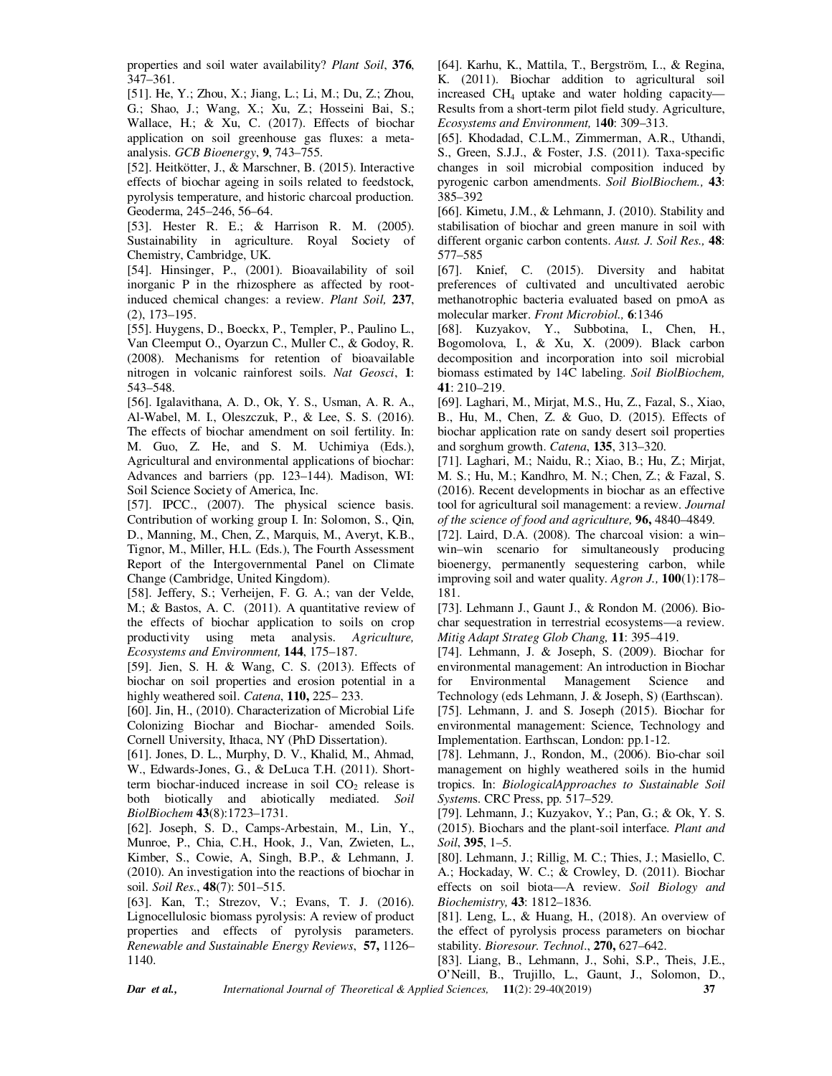properties and soil water availability? *Plant Soil*, **376**, 347–361.

[51]. He, Y.; Zhou, X.; Jiang, L.; Li, M.; Du, Z.; Zhou, G.; Shao, J.; Wang, X.; Xu, Z.; Hosseini Bai, S.; Wallace, H.; & Xu, C. (2017). Effects of biochar application on soil greenhouse gas fluxes: a metaanalysis. *GCB Bioenergy*, **9**, 743–755.

[52]. Heitkötter, J., & Marschner, B. (2015). Interactive effects of biochar ageing in soils related to feedstock, pyrolysis temperature, and historic charcoal production. Geoderma, 245–246, 56–64.

[53]. Hester R. E.; & Harrison R. M. (2005). Sustainability in agriculture. Royal Society of Chemistry, Cambridge, UK.

[54]. Hinsinger, P., (2001). Bioavailability of soil inorganic P in the rhizosphere as affected by rootinduced chemical changes: a review. *Plant Soil,* **237**, (2), 173–195.

[55]. Huygens, D., Boeckx, P., Templer, P., Paulino L., Van Cleemput O., Oyarzun C., Muller C., & Godoy, R. (2008). Mechanisms for retention of bioavailable nitrogen in volcanic rainforest soils. *Nat Geosci*, **1**: 543–548.

[56]. Igalavithana, A. D., Ok, Y. S., Usman, A. R. A., Al-Wabel, M. I., Oleszczuk, P., & Lee, S. S. (2016). The effects of biochar amendment on soil fertility. In: M. Guo, Z. He, and S. M. Uchimiya (Eds.), Agricultural and environmental applications of biochar: Advances and barriers (pp. 123–144). Madison, WI: Soil Science Society of America, Inc.

[57]. IPCC., (2007). The physical science basis. Contribution of working group I. In: Solomon, S., Qin, D., Manning, M., Chen, Z., Marquis, M., Averyt, K.B., Tignor, M., Miller, H.L. (Eds.), The Fourth Assessment Report of the Intergovernmental Panel on Climate Change (Cambridge, United Kingdom).

[58]. Jeffery, S.; Verheijen, F. G. A.; van der Velde, M.; & Bastos, A. C. (2011). A quantitative review of the effects of biochar application to soils on crop productivity using meta analysis. *Agriculture, Ecosystems and Environment,* **144**, 175–187.

[59]. Jien, S. H. & Wang, C. S. (2013). Effects of biochar on soil properties and erosion potential in a highly weathered soil. *Catena*, **110,** 225– 233.

[60]. Jin, H., (2010). Characterization of Microbial Life Colonizing Biochar and Biochar- amended Soils. Cornell University, Ithaca, NY (PhD Dissertation).

[61]. Jones, D. L., Murphy, D. V., Khalid, M., Ahmad, W., Edwards-Jones, G., & DeLuca T.H. (2011). Shortterm biochar-induced increase in soil  $CO<sub>2</sub>$  release is both biotically and abiotically mediated. *Soil BiolBiochem* **43**(8):1723–1731.

[62]. Joseph, S. D., Camps-Arbestain, M., Lin, Y., Munroe, P., Chia, C.H., Hook, J., Van, Zwieten, L., Kimber, S., Cowie, A, Singh, B.P., & Lehmann, J. (2010). An investigation into the reactions of biochar in soil. *Soil Res.*, **48**(7): 501–515.

[63]. Kan, T.; Strezov, V.; Evans, T. J. (2016). Lignocellulosic biomass pyrolysis: A review of product properties and effects of pyrolysis parameters. *Renewable and Sustainable Energy Reviews*, **57,** 1126– 1140.

[64]. Karhu, K., Mattila, T., Bergström, I.., & Regina, K. (2011). Biochar addition to agricultural soil increased CH4 uptake and water holding capacity— Results from a short-term pilot field study. Agriculture, *Ecosystems and Environment,* 1**40**: 309–313.

[65]. Khodadad, C.L.M., Zimmerman, A.R., Uthandi, S., Green, S.J.J., & Foster, J.S. (2011). Taxa-specific changes in soil microbial composition induced by pyrogenic carbon amendments. *Soil BiolBiochem.,* **43**: 385–392

[66]. Kimetu, J.M., & Lehmann, J. (2010). Stability and stabilisation of biochar and green manure in soil with different organic carbon contents. *Aust. J. Soil Res.,* **48**: 577–585

[67]. Knief, C. (2015). Diversity and habitat preferences of cultivated and uncultivated aerobic methanotrophic bacteria evaluated based on pmoA as molecular marker. *Front Microbiol.,* **6**:1346

[68]. Kuzyakov, Y., Subbotina, I., Chen, H., Bogomolova, I., & Xu, X. (2009). Black carbon decomposition and incorporation into soil microbial biomass estimated by 14C labeling. *Soil BiolBiochem,* **41**: 210–219.

[69]. Laghari, M., Mirjat, M.S., Hu, Z., Fazal, S., Xiao, B., Hu, M., Chen, Z. & Guo, D. (2015). Effects of biochar application rate on sandy desert soil properties and sorghum growth. *Catena*, **135**, 313–320.

[71]. Laghari, M.; Naidu, R.; Xiao, B.; Hu, Z.; Mirjat, M. S.; Hu, M.; Kandhro, M. N.; Chen, Z.; & Fazal, S. (2016). Recent developments in biochar as an effective tool for agricultural soil management: a review. *Journal of the science of food and agriculture,* **96,** 4840–4849.

[72]. Laird, D.A. (2008). The charcoal vision: a win– win–win scenario for simultaneously producing bioenergy, permanently sequestering carbon, while improving soil and water quality. *Agron J.,* **100**(1):178– 181.

[73]. Lehmann J., Gaunt J., & Rondon M. (2006). Biochar sequestration in terrestrial ecosystems—a review. *Mitig Adapt Strateg Glob Chang,* **11**: 395–419.

[74]. Lehmann, J. & Joseph, S. (2009). Biochar for environmental management: An introduction in Biochar for Environmental Management Science and Technology (eds Lehmann, J. & Joseph, S) (Earthscan). [75]. Lehmann, J. and S. Joseph (2015). Biochar for environmental management: Science, Technology and Implementation. Earthscan, London: pp.1-12.

[78]. Lehmann, J., Rondon, M., (2006). Bio-char soil management on highly weathered soils in the humid tropics. In: *BiologicalApproaches to Sustainable Soil System*s. CRC Press, pp. 517–529.

[79]. Lehmann, J.; Kuzyakov, Y.; Pan, G.; & Ok, Y. S. (2015). Biochars and the plant-soil interface. *Plant and Soil*, **395**, 1–5.

[80]. Lehmann, J.; Rillig, M. C.; Thies, J.; Masiello, C. A.; Hockaday, W. C.; & Crowley, D. (2011). Biochar effects on soil biota—A review. *Soil Biology and Biochemistry,* **43**: 1812–1836.

[81]. Leng, L., & Huang, H., (2018). An overview of the effect of pyrolysis process parameters on biochar stability. *Bioresour. Technol*., **270,** 627–642.

[83]. Liang, B., Lehmann, J., Sohi, S.P., Theis, J.E., O'Neill, B., Trujillo, L., Gaunt, J., Solomon, D.,

*Dar et al., International Journal of Theoretical & Applied Sciences,* **11**(2): 29-40(2019) **37**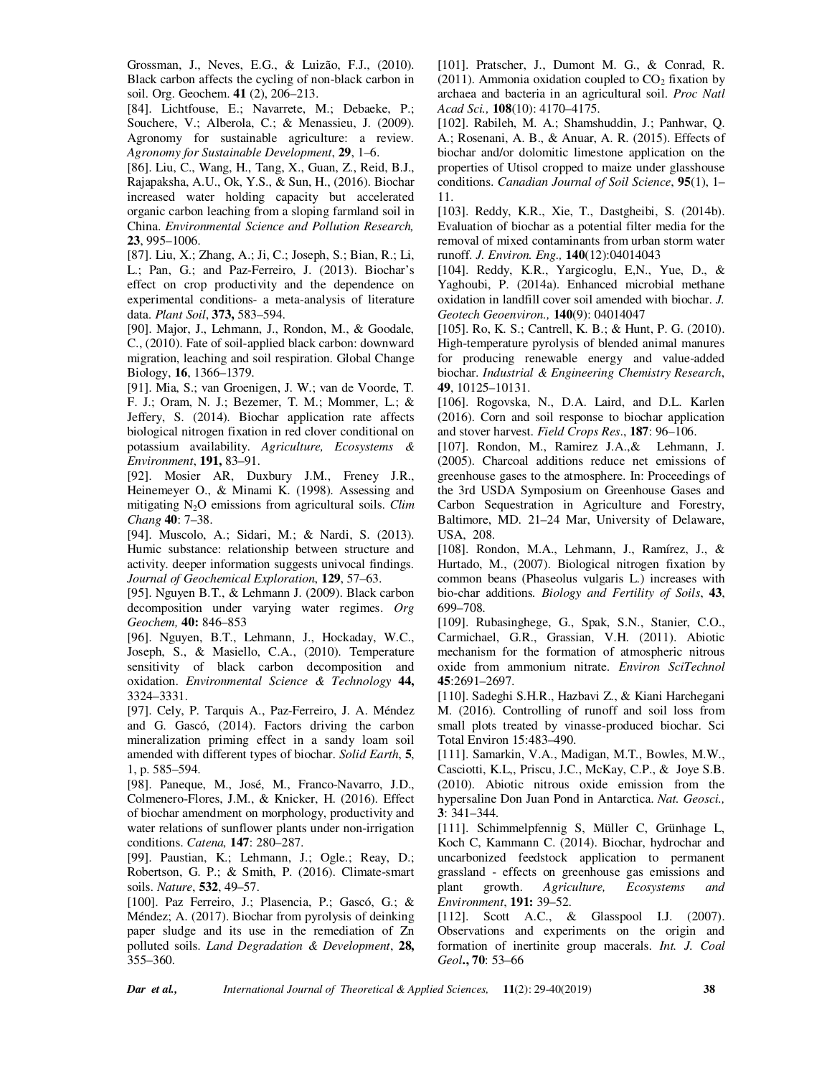Grossman, J., Neves, E.G., & Luizão, F.J., (2010). Black carbon affects the cycling of non-black carbon in soil. Org. Geochem. **41** (2), 206–213.

[84]. Lichtfouse, E.; Navarrete, M.; Debaeke, P.; Souchere, V.; Alberola, C.; & Menassieu, J. (2009). Agronomy for sustainable agriculture: a review. *Agronomy for Sustainable Development*, **29**, 1–6.

[86]. Liu, C., Wang, H., Tang, X., Guan, Z., Reid, B.J., Rajapaksha, A.U., Ok, Y.S., & Sun, H., (2016). Biochar increased water holding capacity but accelerated organic carbon leaching from a sloping farmland soil in China. *Environmental Science and Pollution Research,* **23**, 995–1006.

[87]. Liu, X.; Zhang, A.; Ji, C.; Joseph, S.; Bian, R.; Li, L.; Pan, G.; and Paz-Ferreiro, J. (2013). Biochar's effect on crop productivity and the dependence on experimental conditions- a meta-analysis of literature data. *Plant Soil*, **373,** 583–594.

[90]. Major, J., Lehmann, J., Rondon, M., & Goodale, C., (2010). Fate of soil-applied black carbon: downward migration, leaching and soil respiration. Global Change Biology, **16**, 1366–1379.

[91]. Mia, S.; van Groenigen, J. W.; van de Voorde, T. F. J.; Oram, N. J.; Bezemer, T. M.; Mommer, L.; & Jeffery, S. (2014). Biochar application rate affects biological nitrogen fixation in red clover conditional on potassium availability. *Agriculture, Ecosystems & Environment*, **191,** 83–91.

[92]. Mosier AR, Duxbury J.M., Freney J.R., Heinemeyer O., & Minami K. (1998). Assessing and mitigating N2O emissions from agricultural soils. *Clim Chang* **40**: 7–38.

[94]. Muscolo, A.; Sidari, M.; & Nardi, S. (2013). Humic substance: relationship between structure and activity. deeper information suggests univocal findings. *Journal of Geochemical Exploration*, **129**, 57–63.

[95]. Nguyen B.T., & Lehmann J. (2009). Black carbon decomposition under varying water regimes. *Org Geochem,* **40:** 846–853

[96]. Nguyen, B.T., Lehmann, J., Hockaday, W.C., Joseph, S., & Masiello, C.A., (2010). Temperature sensitivity of black carbon decomposition and oxidation. *Environmental Science & Technology* **44,** 3324–3331.

[97]. Cely, P. Tarquis A., Paz-Ferreiro, J. A. Méndez and G. Gascó, (2014). Factors driving the carbon mineralization priming effect in a sandy loam soil amended with different types of biochar. *Solid Earth*, **5**, 1, p. 585–594.

[98]. Paneque, M., José, M., Franco-Navarro, J.D., Colmenero-Flores, J.M., & Knicker, H. (2016). Effect of biochar amendment on morphology, productivity and water relations of sunflower plants under non-irrigation conditions. *Catena,* **147**: 280–287.

[99]. Paustian, K.; Lehmann, J.; Ogle.; Reay, D.; Robertson, G. P.; & Smith, P. (2016). Climate-smart soils. *Nature*, **532**, 49–57.

[100]. Paz Ferreiro, J.; Plasencia, P.; Gascó, G.; & Méndez; A. (2017). Biochar from pyrolysis of deinking paper sludge and its use in the remediation of Zn polluted soils. *Land Degradation & Development*, **28,** 355–360.

[101]. Pratscher, J., Dumont M. G., & Conrad, R. (2011). Ammonia oxidation coupled to  $CO<sub>2</sub>$  fixation by archaea and bacteria in an agricultural soil. *Proc Natl Acad Sci.,* **108**(10): 4170–4175.

[102]. Rabileh, M. A.; Shamshuddin, J.; Panhwar, Q. A.; Rosenani, A. B., & Anuar, A. R. (2015). Effects of biochar and/or dolomitic limestone application on the properties of Utisol cropped to maize under glasshouse conditions. *Canadian Journal of Soil Science*, **95**(1), 1– 11.

[103]. Reddy, K.R., Xie, T., Dastgheibi, S. (2014b). Evaluation of biochar as a potential filter media for the removal of mixed contaminants from urban storm water runoff. *J. Environ. Eng.,* **140**(12):04014043

[104]. Reddy, K.R., Yargicoglu, E,N., Yue, D., & Yaghoubi, P. (2014a). Enhanced microbial methane oxidation in landfill cover soil amended with biochar. *J. Geotech Geoenviron.,* **140**(9): 04014047

[105]. Ro, K. S.; Cantrell, K. B.; & Hunt, P. G. (2010). High-temperature pyrolysis of blended animal manures for producing renewable energy and value-added biochar. *Industrial & Engineering Chemistry Research*, **49**, 10125–10131.

[106]. Rogovska, N., D.A. Laird, and D.L. Karlen (2016). Corn and soil response to biochar application and stover harvest. *Field Crops Res*., **187**: 96–106.

[107]. Rondon, M., Ramirez J.A.,& Lehmann, J. (2005). Charcoal additions reduce net emissions of greenhouse gases to the atmosphere. In: Proceedings of the 3rd USDA Symposium on Greenhouse Gases and Carbon Sequestration in Agriculture and Forestry, Baltimore, MD. 21–24 Mar, University of Delaware, USA, 208.

[108]. Rondon, M.A., Lehmann, J., Ramírez, J., & Hurtado, M., (2007). Biological nitrogen fixation by common beans (Phaseolus vulgaris L.) increases with bio-char additions*. Biology and Fertility of Soils*, **43**, 699–708.

[109]. Rubasinghege, G., Spak, S.N., Stanier, C.O., Carmichael, G.R., Grassian, V.H. (2011). Abiotic mechanism for the formation of atmospheric nitrous oxide from ammonium nitrate. *Environ SciTechnol* **45**:2691–2697.

[110]. Sadeghi S.H.R., Hazbavi Z., & Kiani Harchegani M. (2016). Controlling of runoff and soil loss from small plots treated by vinasse-produced biochar. Sci Total Environ 15:483–490.

[111]. Samarkin, V.A., Madigan, M.T., Bowles, M.W., Casciotti, K.L,, Priscu, J.C., McKay, C.P., & Joye S.B. (2010). Abiotic nitrous oxide emission from the hypersaline Don Juan Pond in Antarctica. *Nat. Geosci.,* **3**: 341–344.

[111]. Schimmelpfennig S, Müller C, Grünhage L, Koch C, Kammann C. (2014). Biochar, hydrochar and uncarbonized feedstock application to permanent grassland - effects on greenhouse gas emissions and plant growth. *Agriculture, Ecosystems and Environment*, **191:** 39–52.

[112]. Scott A.C., & Glasspool I.J. (2007). Observations and experiments on the origin and formation of inertinite group macerals. *Int. J. Coal Geol***., 70**: 53–66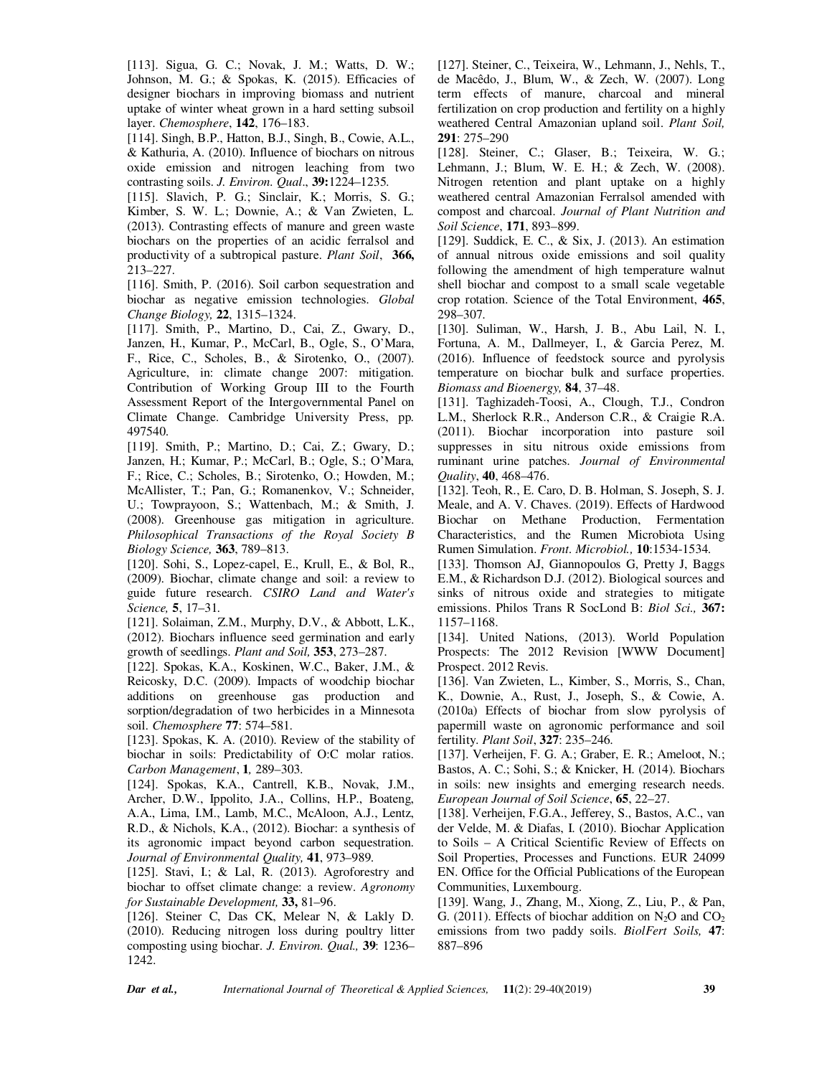[113]. Sigua, G. C.; Novak, J. M.; Watts, D. W.; Johnson, M. G.; & Spokas, K. (2015). Efficacies of designer biochars in improving biomass and nutrient uptake of winter wheat grown in a hard setting subsoil layer. *Chemosphere*, **142**, 176–183.

[114]. Singh, B.P., Hatton, B.J., Singh, B., Cowie, A.L., & Kathuria, A. (2010). Influence of biochars on nitrous oxide emission and nitrogen leaching from two contrasting soils. *J. Environ. Qual*., **39:**1224–1235.

[115]. Slavich, P. G.; Sinclair, K.; Morris, S. G.; Kimber, S. W. L.; Downie, A.; & Van Zwieten, L. (2013). Contrasting effects of manure and green waste biochars on the properties of an acidic ferralsol and productivity of a subtropical pasture. *Plant Soil*, **366,** 213–227.

[116]. Smith, P. (2016). Soil carbon sequestration and biochar as negative emission technologies. *Global Change Biology,* **22**, 1315–1324.

[117]. Smith, P., Martino, D., Cai, Z., Gwary, D., Janzen, H., Kumar, P., McCarl, B., Ogle, S., O'Mara, F., Rice, C., Scholes, B., & Sirotenko, O., (2007). Agriculture, in: climate change 2007: mitigation. Contribution of Working Group III to the Fourth Assessment Report of the Intergovernmental Panel on Climate Change. Cambridge University Press, pp. 497540.

[119]. Smith, P.; Martino, D.; Cai, Z.; Gwary, D.; Janzen, H.; Kumar, P.; McCarl, B.; Ogle, S.; O'Mara, F.; Rice, C.; Scholes, B.; Sirotenko, O.; Howden, M.; McAllister, T.; Pan, G.; Romanenkov, V.; Schneider, U.; Towprayoon, S.; Wattenbach, M.; & Smith, J. (2008). Greenhouse gas mitigation in agriculture. *Philosophical Transactions of the Royal Society B Biology Science,* **363**, 789–813.

[120]. Sohi, S., Lopez-capel, E., Krull, E., & Bol, R., (2009). Biochar, climate change and soil: a review to guide future research. *CSIRO Land and Water's Science,* **5**, 17–31.

[121]. Solaiman, Z.M., Murphy, D.V., & Abbott, L.K., (2012). Biochars influence seed germination and early growth of seedlings. *Plant and Soil,* **353**, 273–287.

[122]. Spokas, K.A., Koskinen, W.C., Baker, J.M., & Reicosky, D.C. (2009). Impacts of woodchip biochar additions on greenhouse gas production and sorption/degradation of two herbicides in a Minnesota soil. *Chemosphere* **77**: 574–581.

[123]. Spokas, K. A. (2010). Review of the stability of biochar in soils: Predictability of O:C molar ratios. *Carbon Management*, **1***,* 289–303.

[124]. Spokas, K.A., Cantrell, K.B., Novak, J.M., Archer, D.W., Ippolito, J.A., Collins, H.P., Boateng, A.A., Lima, I.M., Lamb, M.C., McAloon, A.J., Lentz, R.D., & Nichols, K.A., (2012). Biochar: a synthesis of its agronomic impact beyond carbon sequestration. *Journal of Environmental Quality,* **41**, 973–989.

[125]. Stavi, I.; & Lal, R. (2013). Agroforestry and biochar to offset climate change: a review. *Agronomy for Sustainable Development,* **33,** 81–96.

[126]. Steiner C, Das CK, Melear N, & Lakly D. (2010). Reducing nitrogen loss during poultry litter composting using biochar. *J. Environ. Qual.,* **39**: 1236– 1242.

[127]. Steiner, C., Teixeira, W., Lehmann, J., Nehls, T., de Macêdo, J., Blum, W., & Zech, W. (2007). Long term effects of manure, charcoal and mineral fertilization on crop production and fertility on a highly weathered Central Amazonian upland soil. *Plant Soil,*  **291**: 275–290

[128]. Steiner, C.; Glaser, B.; Teixeira, W. G.; Lehmann, J.; Blum, W. E. H.; & Zech, W. (2008). Nitrogen retention and plant uptake on a highly weathered central Amazonian Ferralsol amended with compost and charcoal. *Journal of Plant Nutrition and Soil Science*, **171**, 893–899.

[129]. Suddick, E. C., & Six, J. (2013). An estimation of annual nitrous oxide emissions and soil quality following the amendment of high temperature walnut shell biochar and compost to a small scale vegetable crop rotation. Science of the Total Environment, **465**, 298–307.

[130]. Suliman, W., Harsh, J. B., Abu Lail, N. I., Fortuna, A. M., Dallmeyer, I., & Garcia Perez, M. (2016). Influence of feedstock source and pyrolysis temperature on biochar bulk and surface properties. *Biomass and Bioenergy,* **84**, 37–48.

[131]. Taghizadeh-Toosi, A., Clough, T.J., Condron L.M., Sherlock R.R., Anderson C.R., & Craigie R.A. (2011). Biochar incorporation into pasture soil suppresses in situ nitrous oxide emissions from ruminant urine patches. *Journal of Environmental Quality*, **40**, 468–476.

[132]. Teoh, R., E. Caro, D. B. Holman, S. Joseph, S. J. Meale, and A. V. Chaves. (2019). Effects of Hardwood Biochar on Methane Production, Fermentation Characteristics, and the Rumen Microbiota Using Rumen Simulation. *Front. Microbiol.,* **10**:1534-1534.

[133]. Thomson AJ, Giannopoulos G, Pretty J, Baggs E.M., & Richardson D.J. (2012). Biological sources and sinks of nitrous oxide and strategies to mitigate emissions. Philos Trans R SocLond B: *Biol Sci.,* **367:** 1157–1168.

[134]. United Nations, (2013). World Population Prospects: The 2012 Revision [WWW Document] Prospect. 2012 Revis.

[136]. Van Zwieten, L., Kimber, S., Morris, S., Chan, K., Downie, A., Rust, J., Joseph, S., & Cowie, A. (2010a) Effects of biochar from slow pyrolysis of papermill waste on agronomic performance and soil fertility. *Plant Soil*, **327**: 235–246.

[137]. Verheijen, F. G. A.; Graber, E. R.; Ameloot, N.; Bastos, A. C.; Sohi, S.; & Knicker, H. (2014). Biochars in soils: new insights and emerging research needs. *European Journal of Soil Science*, **65**, 22–27.

[138]. Verheijen, F.G.A., Jefferey, S., Bastos, A.C., van der Velde, M. & Diafas, I. (2010). Biochar Application to Soils – A Critical Scientific Review of Effects on Soil Properties, Processes and Functions. EUR 24099 EN. Office for the Official Publications of the European Communities, Luxembourg.

[139]. Wang, J., Zhang, M., Xiong, Z., Liu, P., & Pan, G. (2011). Effects of biochar addition on  $N_2O$  and  $CO_2$ emissions from two paddy soils. *BiolFert Soils,* **47**: 887–896